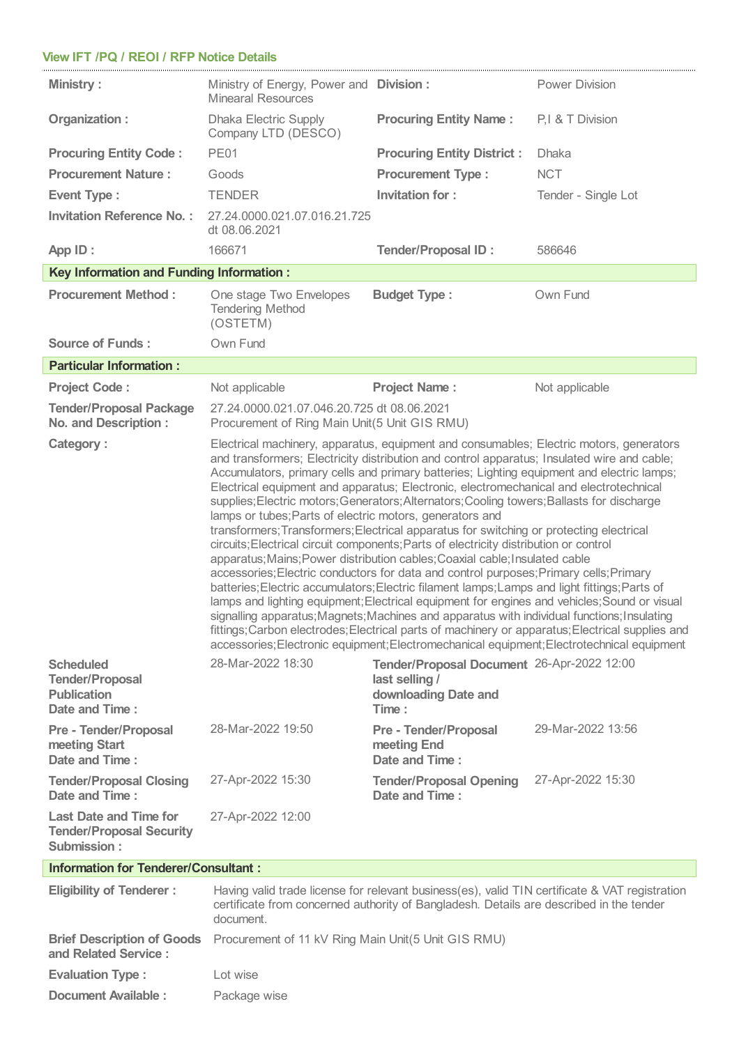## **View IFT /PQ /REOI / RFP Notice Details**

| <b>Ministry:</b>                                                                   | Ministry of Energy, Power and Division:<br><b>Minearal Resources</b>                                                                                                                                                                                                                                                                                                                                                                                                                                                                                                                                                                                                                                                                                                                                                                                                                                                                                                                                                                                                                                                                                                                                                                                                                                                                                                                                   |                                                                                               | <b>Power Division</b> |  |  |  |  |
|------------------------------------------------------------------------------------|--------------------------------------------------------------------------------------------------------------------------------------------------------------------------------------------------------------------------------------------------------------------------------------------------------------------------------------------------------------------------------------------------------------------------------------------------------------------------------------------------------------------------------------------------------------------------------------------------------------------------------------------------------------------------------------------------------------------------------------------------------------------------------------------------------------------------------------------------------------------------------------------------------------------------------------------------------------------------------------------------------------------------------------------------------------------------------------------------------------------------------------------------------------------------------------------------------------------------------------------------------------------------------------------------------------------------------------------------------------------------------------------------------|-----------------------------------------------------------------------------------------------|-----------------------|--|--|--|--|
| Organization:                                                                      | <b>Dhaka Electric Supply</b><br>Company LTD (DESCO)                                                                                                                                                                                                                                                                                                                                                                                                                                                                                                                                                                                                                                                                                                                                                                                                                                                                                                                                                                                                                                                                                                                                                                                                                                                                                                                                                    | <b>Procuring Entity Name:</b>                                                                 | P.I & T Division      |  |  |  |  |
| <b>Procuring Entity Code:</b>                                                      | <b>PE01</b>                                                                                                                                                                                                                                                                                                                                                                                                                                                                                                                                                                                                                                                                                                                                                                                                                                                                                                                                                                                                                                                                                                                                                                                                                                                                                                                                                                                            | <b>Procuring Entity District:</b>                                                             | <b>Dhaka</b>          |  |  |  |  |
| <b>Procurement Nature:</b>                                                         | <b>Procurement Type:</b><br>Goods                                                                                                                                                                                                                                                                                                                                                                                                                                                                                                                                                                                                                                                                                                                                                                                                                                                                                                                                                                                                                                                                                                                                                                                                                                                                                                                                                                      |                                                                                               | <b>NCT</b>            |  |  |  |  |
| <b>Event Type:</b>                                                                 | <b>TENDER</b>                                                                                                                                                                                                                                                                                                                                                                                                                                                                                                                                                                                                                                                                                                                                                                                                                                                                                                                                                                                                                                                                                                                                                                                                                                                                                                                                                                                          | Invitation for:                                                                               | Tender - Single Lot   |  |  |  |  |
| <b>Invitation Reference No.:</b>                                                   | 27.24.0000.021.07.016.21.725<br>dt 08.06.2021                                                                                                                                                                                                                                                                                                                                                                                                                                                                                                                                                                                                                                                                                                                                                                                                                                                                                                                                                                                                                                                                                                                                                                                                                                                                                                                                                          |                                                                                               |                       |  |  |  |  |
| App ID:                                                                            | 166671                                                                                                                                                                                                                                                                                                                                                                                                                                                                                                                                                                                                                                                                                                                                                                                                                                                                                                                                                                                                                                                                                                                                                                                                                                                                                                                                                                                                 | <b>Tender/Proposal ID:</b>                                                                    | 586646                |  |  |  |  |
| <b>Key Information and Funding Information:</b>                                    |                                                                                                                                                                                                                                                                                                                                                                                                                                                                                                                                                                                                                                                                                                                                                                                                                                                                                                                                                                                                                                                                                                                                                                                                                                                                                                                                                                                                        |                                                                                               |                       |  |  |  |  |
| <b>Procurement Method:</b>                                                         | One stage Two Envelopes<br><b>Tendering Method</b><br>(OSTETM)                                                                                                                                                                                                                                                                                                                                                                                                                                                                                                                                                                                                                                                                                                                                                                                                                                                                                                                                                                                                                                                                                                                                                                                                                                                                                                                                         | <b>Budget Type:</b>                                                                           | Own Fund              |  |  |  |  |
| <b>Source of Funds:</b>                                                            | Own Fund                                                                                                                                                                                                                                                                                                                                                                                                                                                                                                                                                                                                                                                                                                                                                                                                                                                                                                                                                                                                                                                                                                                                                                                                                                                                                                                                                                                               |                                                                                               |                       |  |  |  |  |
| <b>Particular Information:</b>                                                     |                                                                                                                                                                                                                                                                                                                                                                                                                                                                                                                                                                                                                                                                                                                                                                                                                                                                                                                                                                                                                                                                                                                                                                                                                                                                                                                                                                                                        |                                                                                               |                       |  |  |  |  |
| <b>Project Code:</b>                                                               | Not applicable                                                                                                                                                                                                                                                                                                                                                                                                                                                                                                                                                                                                                                                                                                                                                                                                                                                                                                                                                                                                                                                                                                                                                                                                                                                                                                                                                                                         | <b>Project Name:</b>                                                                          | Not applicable        |  |  |  |  |
| <b>Tender/Proposal Package</b><br><b>No. and Description:</b>                      | 27.24.0000.021.07.046.20.725 dt 08.06.2021<br>Procurement of Ring Main Unit(5 Unit GIS RMU)                                                                                                                                                                                                                                                                                                                                                                                                                                                                                                                                                                                                                                                                                                                                                                                                                                                                                                                                                                                                                                                                                                                                                                                                                                                                                                            |                                                                                               |                       |  |  |  |  |
| <b>Category:</b>                                                                   | Electrical machinery, apparatus, equipment and consumables; Electric motors, generators<br>and transformers; Electricity distribution and control apparatus; Insulated wire and cable;<br>Accumulators, primary cells and primary batteries; Lighting equipment and electric lamps;<br>Electrical equipment and apparatus; Electronic, electromechanical and electrotechnical<br>supplies; Electric motors; Generators; Alternators; Cooling towers; Ballasts for discharge<br>lamps or tubes; Parts of electric motors, generators and<br>transformers; Transformers; Electrical apparatus for switching or protecting electrical<br>circuits; Electrical circuit components; Parts of electricity distribution or control<br>apparatus; Mains; Power distribution cables; Coaxial cable; Insulated cable<br>accessories; Electric conductors for data and control purposes; Primary cells; Primary<br>batteries; Electric accumulators; Electric filament lamps; Lamps and light fittings; Parts of<br>lamps and lighting equipment; Electrical equipment for engines and vehicles; Sound or visual<br>signalling apparatus; Magnets; Machines and apparatus with individual functions; Insulating<br>fittings; Carbon electrodes; Electrical parts of machinery or apparatus; Electrical supplies and<br>accessories; Electronic equipment; Electromechanical equipment; Electrotechnical equipment |                                                                                               |                       |  |  |  |  |
| <b>Scheduled</b><br><b>Tender/Proposal</b><br><b>Publication</b><br>Date and Time: | 28-Mar-2022 18:30                                                                                                                                                                                                                                                                                                                                                                                                                                                                                                                                                                                                                                                                                                                                                                                                                                                                                                                                                                                                                                                                                                                                                                                                                                                                                                                                                                                      | Tender/Proposal Document 26-Apr-2022 12:00<br>last selling /<br>downloading Date and<br>Time: |                       |  |  |  |  |
| <b>Pre - Tender/Proposal</b><br>meeting Start<br>Date and Time:                    | 28-Mar-2022 19:50                                                                                                                                                                                                                                                                                                                                                                                                                                                                                                                                                                                                                                                                                                                                                                                                                                                                                                                                                                                                                                                                                                                                                                                                                                                                                                                                                                                      | <b>Pre - Tender/Proposal</b><br>meeting End<br>Date and Time:                                 | 29-Mar-2022 13:56     |  |  |  |  |
| <b>Tender/Proposal Closing</b><br>Date and Time:                                   | 27-Apr-2022 15:30                                                                                                                                                                                                                                                                                                                                                                                                                                                                                                                                                                                                                                                                                                                                                                                                                                                                                                                                                                                                                                                                                                                                                                                                                                                                                                                                                                                      | <b>Tender/Proposal Opening</b><br>Date and Time:                                              | 27-Apr-2022 15:30     |  |  |  |  |
| <b>Last Date and Time for</b><br><b>Tender/Proposal Security</b><br>Submission:    | 27-Apr-2022 12:00                                                                                                                                                                                                                                                                                                                                                                                                                                                                                                                                                                                                                                                                                                                                                                                                                                                                                                                                                                                                                                                                                                                                                                                                                                                                                                                                                                                      |                                                                                               |                       |  |  |  |  |
| <b>Information for Tenderer/Consultant:</b>                                        |                                                                                                                                                                                                                                                                                                                                                                                                                                                                                                                                                                                                                                                                                                                                                                                                                                                                                                                                                                                                                                                                                                                                                                                                                                                                                                                                                                                                        |                                                                                               |                       |  |  |  |  |
| <b>Eligibility of Tenderer:</b>                                                    | Having valid trade license for relevant business(es), valid TIN certificate & VAT registration<br>certificate from concerned authority of Bangladesh. Details are described in the tender                                                                                                                                                                                                                                                                                                                                                                                                                                                                                                                                                                                                                                                                                                                                                                                                                                                                                                                                                                                                                                                                                                                                                                                                              |                                                                                               |                       |  |  |  |  |

|                         | certificate from concerned authority of Bangladesh. Details are described in the tender<br>document. |
|-------------------------|------------------------------------------------------------------------------------------------------|
| and Related Service :   | Brief Description of Goods Procurement of 11 kV Ring Main Unit(5 Unit GIS RMU)                       |
| <b>Evaluation Type:</b> | Lot wise                                                                                             |
| Document Available :    | Package wise                                                                                         |